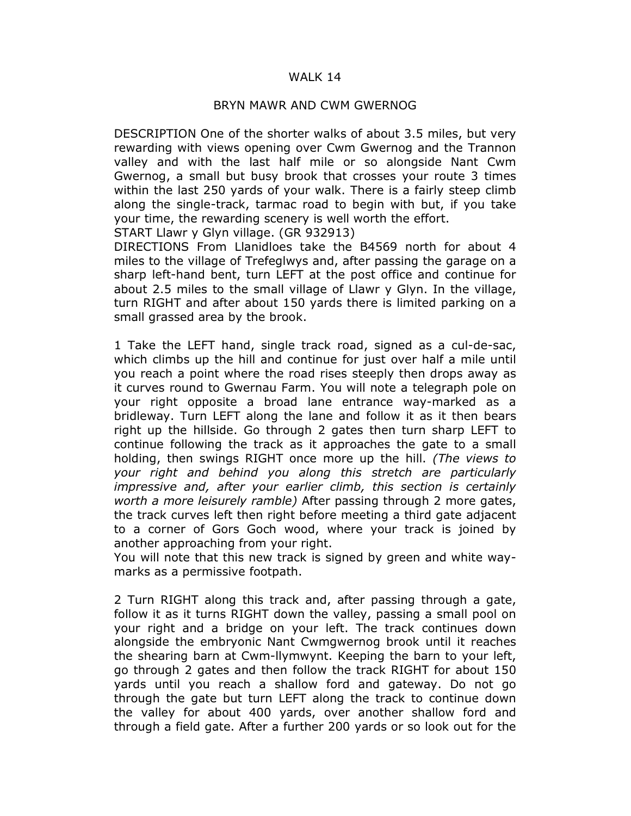## WALK 14

## BRYN MAWR AND CWM GWERNOG

DESCRIPTION One of the shorter walks of about 3.5 miles, but very rewarding with views opening over Cwm Gwernog and the Trannon valley and with the last half mile or so alongside Nant Cwm Gwernog, a small but busy brook that crosses your route 3 times within the last 250 yards of your walk. There is a fairly steep climb along the single-track, tarmac road to begin with but, if you take your time, the rewarding scenery is well worth the effort.

START Llawr y Glyn village. (GR 932913)

DIRECTIONS From Llanidloes take the B4569 north for about 4 miles to the village of Trefeglwys and, after passing the garage on a sharp left-hand bent, turn LEFT at the post office and continue for about 2.5 miles to the small village of Llawr y Glyn. In the village, turn RIGHT and after about 150 yards there is limited parking on a small grassed area by the brook.

1 Take the LEFT hand, single track road, signed as a cul-de-sac, which climbs up the hill and continue for just over half a mile until you reach a point where the road rises steeply then drops away as it curves round to Gwernau Farm. You will note a telegraph pole on your right opposite a broad lane entrance way-marked as a bridleway. Turn LEFT along the lane and follow it as it then bears right up the hillside. Go through 2 gates then turn sharp LEFT to continue following the track as it approaches the gate to a small holding, then swings RIGHT once more up the hill. (The views to your right and behind you along this stretch are particularly impressive and, after your earlier climb, this section is certainly worth a more leisurely ramble) After passing through 2 more gates, the track curves left then right before meeting a third gate adjacent to a corner of Gors Goch wood, where your track is joined by another approaching from your right.

You will note that this new track is signed by green and white waymarks as a permissive footpath.

2 Turn RIGHT along this track and, after passing through a gate, follow it as it turns RIGHT down the valley, passing a small pool on your right and a bridge on your left. The track continues down alongside the embryonic Nant Cwmgwernog brook until it reaches the shearing barn at Cwm-llymwynt. Keeping the barn to your left, go through 2 gates and then follow the track RIGHT for about 150 yards until you reach a shallow ford and gateway. Do not go through the gate but turn LEFT along the track to continue down the valley for about 400 yards, over another shallow ford and through a field gate. After a further 200 yards or so look out for the